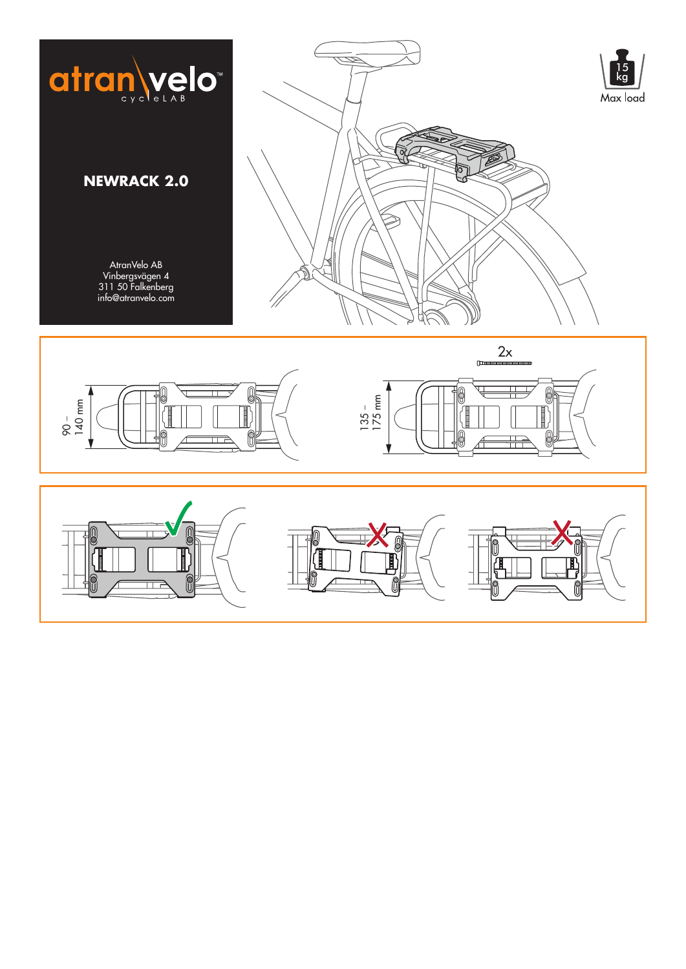





0

0

╫

H

lg